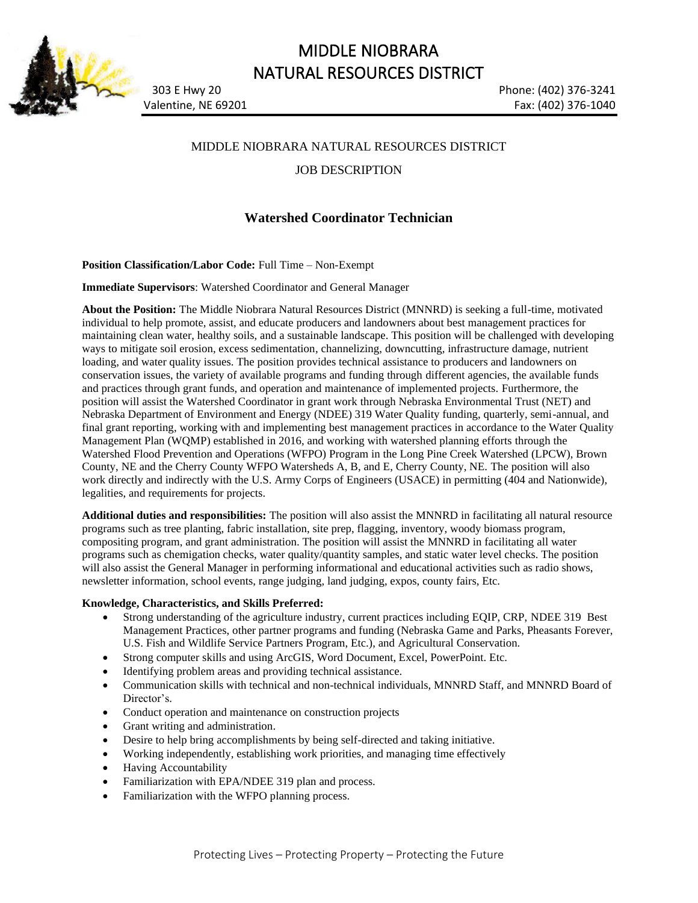

# MIDDLE NIOBRARA NATURAL RESOURCES DISTRICT

Valentine, NE 69201 **Fax: (402) 376-1040** 

303 E Hwy 20 Phone: (402) 376-3241

## MIDDLE NIOBRARA NATURAL RESOURCES DISTRICT

JOB DESCRIPTION

# **Watershed Coordinator Technician**

**Position Classification/Labor Code:** Full Time – Non-Exempt

**Immediate Supervisors**: Watershed Coordinator and General Manager

**About the Position:** The Middle Niobrara Natural Resources District (MNNRD) is seeking a full-time, motivated individual to help promote, assist, and educate producers and landowners about best management practices for maintaining clean water, healthy soils, and a sustainable landscape. This position will be challenged with developing ways to mitigate soil erosion, excess sedimentation, channelizing, downcutting, infrastructure damage, nutrient loading, and water quality issues. The position provides technical assistance to producers and landowners on conservation issues, the variety of available programs and funding through different agencies, the available funds and practices through grant funds, and operation and maintenance of implemented projects. Furthermore, the position will assist the Watershed Coordinator in grant work through Nebraska Environmental Trust (NET) and Nebraska Department of Environment and Energy (NDEE) 319 Water Quality funding, quarterly, semi-annual, and final grant reporting, working with and implementing best management practices in accordance to the Water Quality Management Plan (WQMP) established in 2016, and working with watershed planning efforts through the Watershed Flood Prevention and Operations (WFPO) Program in the Long Pine Creek Watershed (LPCW), Brown County, NE and the Cherry County WFPO Watersheds A, B, and E, Cherry County, NE. The position will also work directly and indirectly with the U.S. Army Corps of Engineers (USACE) in permitting (404 and Nationwide), legalities, and requirements for projects.

**Additional duties and responsibilities:** The position will also assist the MNNRD in facilitating all natural resource programs such as tree planting, fabric installation, site prep, flagging, inventory, woody biomass program, compositing program, and grant administration. The position will assist the MNNRD in facilitating all water programs such as chemigation checks, water quality/quantity samples, and static water level checks. The position will also assist the General Manager in performing informational and educational activities such as radio shows, newsletter information, school events, range judging, land judging, expos, county fairs, Etc.

## **Knowledge, Characteristics, and Skills Preferred:**

- Strong understanding of the agriculture industry, current practices including EQIP, CRP, NDEE 319 Best Management Practices, other partner programs and funding (Nebraska Game and Parks, Pheasants Forever, U.S. Fish and Wildlife Service Partners Program, Etc.), and Agricultural Conservation.
- Strong computer skills and using ArcGIS, Word Document, Excel, PowerPoint. Etc.
- Identifying problem areas and providing technical assistance.
- Communication skills with technical and non-technical individuals, MNNRD Staff, and MNNRD Board of Director's.
- Conduct operation and maintenance on construction projects
- Grant writing and administration.
- Desire to help bring accomplishments by being self-directed and taking initiative.
- Working independently, establishing work priorities, and managing time effectively
- Having Accountability
- Familiarization with EPA/NDEE 319 plan and process.
- Familiarization with the WFPO planning process.